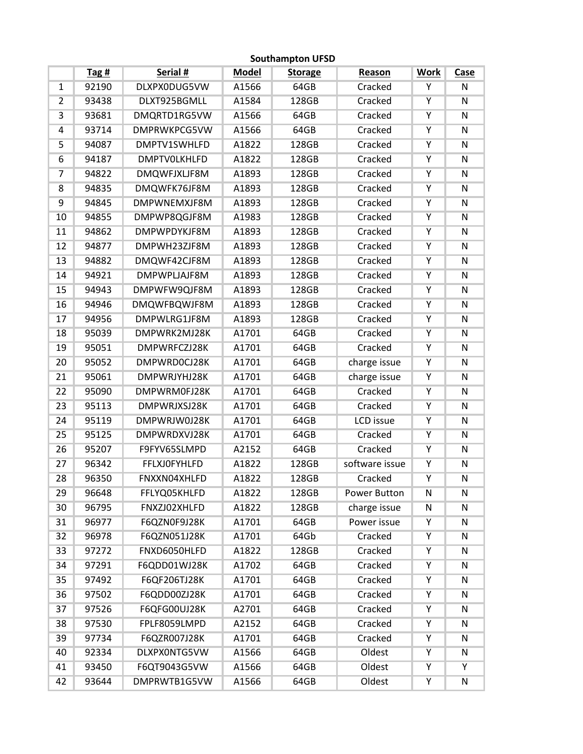|                 |       |                     |              | <b>Southampton UFSD</b> |                |             |                         |
|-----------------|-------|---------------------|--------------|-------------------------|----------------|-------------|-------------------------|
|                 | Tag#  | Serial #            | <b>Model</b> | <b>Storage</b>          | Reason         | <b>Work</b> | Case                    |
| $\mathbf{1}$    | 92190 | DLXPX0DUG5VW        | A1566        | 64GB                    | Cracked        | Υ           | N                       |
| $\overline{2}$  | 93438 | DLXT925BGMLL        | A1584        | 128GB                   | Cracked        | Ϋ           | $\mathsf{N}$            |
| $\overline{3}$  | 93681 | DMQRTD1RG5VW        | A1566        | 64GB                    | Cracked        | Ÿ           | N                       |
| 4               | 93714 | <b>DMPRWKPCG5VW</b> | A1566        | 64GB                    | Cracked        | Ÿ           | $\overline{\mathsf{N}}$ |
| 5               | 94087 | DMPTV1SWHLFD        | A1822        | 128GB                   | Cracked        | Υ           | ${\sf N}$               |
| $6\overline{6}$ | 94187 | <b>DMPTVOLKHLFD</b> | A1822        | 128GB                   | Cracked        | Ÿ           | $\overline{\mathsf{N}}$ |
| 7               | 94822 | <b>DMQWFJXLJF8M</b> | A1893        | 128GB                   | Cracked        | Υ           | ${\sf N}$               |
| 8               | 94835 | DMQWFK76JF8M        | A1893        | 128GB                   | Cracked        | Υ           | ${\sf N}$               |
| 9               | 94845 | DMPWNEMXJF8M        | A1893        | 128GB                   | Cracked        | Y           | $\overline{\mathsf{N}}$ |
| 10              | 94855 | DMPWP8QGJF8M        | A1983        | 128GB                   | Cracked        | Y           | ${\sf N}$               |
| 11              | 94862 | <b>DMPWPDYKJF8M</b> | A1893        | 128GB                   | Cracked        | Υ           | ${\sf N}$               |
| 12              | 94877 | DMPWH23ZJF8M        | A1893        | 128GB                   | Cracked        | Υ           | $\overline{\mathsf{N}}$ |
| 13              | 94882 | DMQWF42CJF8M        | A1893        | 128GB                   | Cracked        | Ϋ           | ${\sf N}$               |
| 14              | 94921 | DMPWPLJAJF8M        | A1893        | 128GB                   | Cracked        | Υ           | N                       |
| 15              | 94943 | DMPWFW9QJF8M        | A1893        | 128GB                   | Cracked        | Ÿ           | $\overline{\mathsf{N}}$ |
| 16              | 94946 | <b>DMQWFBQWJF8M</b> | A1893        | 128GB                   | Cracked        | Υ           | ${\sf N}$               |
| 17              | 94956 | DMPWLRG1JF8M        | A1893        | 128GB                   | Cracked        | Υ           | ${\sf N}$               |
| 18              | 95039 | DMPWRK2MJ28K        | A1701        | 64GB                    | Cracked        | Υ           | ${\sf N}$               |
| 19              | 95051 | DMPWRFCZJ28K        | A1701        | 64GB                    | Cracked        | Υ           | ${\sf N}$               |
| 20              | 95052 | DMPWRD0CJ28K        | A1701        | 64GB                    | charge issue   | Υ           | ${\sf N}$               |
| 21              | 95061 | DMPWRJYHJ28K        | A1701        | 64GB                    | charge issue   | Υ           | ${\sf N}$               |
| 22              | 95090 | DMPWRM0FJ28K        | A1701        | 64GB                    | Cracked        | Y           | ${\sf N}$               |
| 23              | 95113 | DMPWRJXSJ28K        | A1701        | 64GB                    | Cracked        | Υ           | $\overline{\mathsf{N}}$ |
| 24              | 95119 | DMPWRJW0J28K        | A1701        | 64GB                    | LCD issue      | Υ           | ${\sf N}$               |
| 25              | 95125 | DMPWRDXVJ28K        | A1701        | 64GB                    | Cracked        | Υ           | N                       |
| 26              | 95207 | F9FYV65SLMPD        | A2152        | 64GB                    | Cracked        | Y           | $\overline{\mathsf{N}}$ |
| 27              | 96342 | <b>FFLXJOFYHLFD</b> | A1822        | 128GB                   | software issue | Υ           | ${\sf N}$               |
| 28              | 96350 | FNXXN04XHLFD        | A1822        | 128GB                   | Cracked        | Y           | ${\sf N}$               |
| 29              | 96648 | FFLYQ05KHLFD        | A1822        | 128GB                   | Power Button   | N           | N                       |
| 30              | 96795 | FNXZJ02XHLFD        | A1822        | 128GB                   | charge issue   | N           | N                       |
| 31              | 96977 | F6QZN0F9J28K        | A1701        | 64GB                    | Power issue    | Υ           | N                       |
| 32              | 96978 | F6QZN051J28K        | A1701        | 64Gb                    | Cracked        | Υ           | $\overline{\textsf{N}}$ |
| 33              | 97272 | FNXD6050HLFD        | A1822        | 128GB                   | Cracked        | Υ           | N                       |
| 34              | 97291 | F6QDD01WJ28K        | A1702        | 64GB                    | Cracked        | Υ           | N                       |
| 35              | 97492 | F6QF206TJ28K        | A1701        | 64GB                    | Cracked        | Υ           | N                       |
| 36              | 97502 | F6QDD00ZJ28K        | A1701        | 64GB                    | Cracked        | Υ           | N                       |
| 37              | 97526 | F6QFG00UJ28K        | A2701        | 64GB                    | Cracked        | Υ           | $\overline{\mathsf{N}}$ |
| 38              | 97530 | FPLF8059LMPD        | A2152        | 64GB                    | Cracked        | Υ           | N                       |
| 39              | 97734 | F6QZR007J28K        | A1701        | 64GB                    | Cracked        | Υ           | ${\sf N}$               |
| 40              | 92334 | DLXPX0NTG5VW        | A1566        | 64GB                    | Oldest         | Υ           | N                       |
| 41              | 93450 | F6QT9043G5VW        | A1566        | 64GB                    | Oldest         | Υ           | Υ                       |
| 42              | 93644 | DMPRWTB1G5VW        | A1566        | 64GB                    | Oldest         | Υ           | N                       |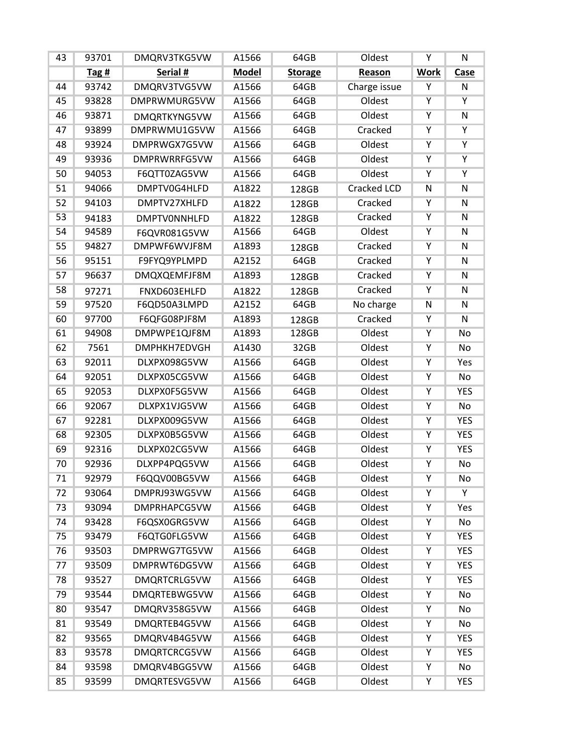| 43 | 93701   | DMQRV3TKG5VW        | A1566        | 64GB           | Oldest             | Υ                       | N                       |
|----|---------|---------------------|--------------|----------------|--------------------|-------------------------|-------------------------|
|    | Tag $#$ | Serial #            | <b>Model</b> | <b>Storage</b> | Reason             | <b>Work</b>             | Case                    |
| 44 | 93742   | DMQRV3TVG5VW        | A1566        | 64GB           | Charge issue       | Υ                       | N                       |
| 45 | 93828   | DMPRWMURG5VW        | A1566        | 64GB           | Oldest             | $\overline{Y}$          | $\overline{Y}$          |
| 46 | 93871   | DMQRTKYNG5VW        | A1566        | 64GB           | Oldest             | $\overline{Y}$          | $\overline{\mathsf{N}}$ |
| 47 | 93899   | DMPRWMU1G5VW        | A1566        | 64GB           | Cracked            | $\overline{Y}$          | Ÿ                       |
| 48 | 93924   | DMPRWGX7G5VW        | A1566        | 64GB           | Oldest             | Y                       | Ϋ                       |
| 49 | 93936   | <b>DMPRWRRFG5VW</b> | A1566        | 64GB           | Oldest             | $\overline{\mathsf{Y}}$ | Y                       |
| 50 | 94053   | F6QTT0ZAG5VW        | A1566        | 64GB           | Oldest             | Υ                       | Υ                       |
| 51 | 94066   | DMPTV0G4HLFD        | A1822        | 128GB          | <b>Cracked LCD</b> | $\overline{\textsf{N}}$ | $\overline{\textsf{N}}$ |
| 52 | 94103   | DMPTV27XHLFD        | A1822        | 128GB          | Cracked            | Y                       | $\overline{\mathsf{N}}$ |
| 53 | 94183   | <b>DMPTVONNHLFD</b> | A1822        | 128GB          | Cracked            | Υ                       | N                       |
| 54 | 94589   | F6QVR081G5VW        | A1566        | 64GB           | Oldest             | Y                       | N                       |
| 55 | 94827   | DMPWF6WVJF8M        | A1893        | 128GB          | Cracked            | $\overline{\mathsf{Y}}$ | $\overline{\textsf{N}}$ |
| 56 | 95151   | F9FYQ9YPLMPD        | A2152        | 64GB           | Cracked            | $\overline{Y}$          | N                       |
| 57 | 96637   | DMQXQEMFJF8M        | A1893        | 128GB          | Cracked            | Y                       | N                       |
| 58 | 97271   | FNXD603EHLFD        | A1822        | 128GB          | Cracked            | $\overline{Y}$          | $\overline{\mathsf{N}}$ |
| 59 | 97520   | F6QD50A3LMPD        | A2152        | 64GB           | No charge          | N                       | N                       |
| 60 | 97700   | F6QFG08PJF8M        | A1893        | 128GB          | Cracked            | Y                       | N                       |
| 61 | 94908   | DMPWPE1QJF8M        | A1893        | 128GB          | Oldest             | Y                       | No                      |
| 62 | 7561    | DMPHKH7EDVGH        | A1430        | 32GB           | Oldest             | Υ                       | No                      |
| 63 | 92011   | DLXPX098G5VW        | A1566        | 64GB           | Oldest             | $\overline{\mathsf{Y}}$ | Yes                     |
| 64 | 92051   | DLXPX05CG5VW        | A1566        | 64GB           | Oldest             | Y                       | No                      |
| 65 | 92053   | DLXPX0F5G5VW        | A1566        | 64GB           | Oldest             | Υ                       | <b>YES</b>              |
| 66 | 92067   | DLXPX1VJG5VW        | A1566        | 64GB           | Oldest             | $\overline{\mathsf{Y}}$ | No                      |
| 67 | 92281   | DLXPX009G5VW        | A1566        | 64GB           | Oldest             | $\overline{\mathsf{Y}}$ | <b>YES</b>              |
| 68 | 92305   | DLXPX0B5G5VW        | A1566        | 64GB           | Oldest             | Υ                       | <b>YES</b>              |
| 69 | 92316   | DLXPX02CG5VW        | A1566        | 64GB           | Oldest             | $\overline{\mathsf{Y}}$ | <b>YES</b>              |
| 70 | 92936   | DLXPP4PQG5VW        | A1566        | 64GB           | Oldest             | Y                       | No                      |
| 71 | 92979   | F6QQV00BG5VW        | A1566        | 64GB           | Oldest             | Υ                       | No                      |
| 72 | 93064   | DMPRJ93WG5VW        | A1566        | 64GB           | Oldest             | Υ                       | Y                       |
| 73 | 93094   | <b>DMPRHAPCG5VW</b> | A1566        | 64GB           | Oldest             | Υ                       | Yes                     |
| 74 | 93428   | F6QSX0GRG5VW        | A1566        | 64GB           | Oldest             | Υ                       | No                      |
| 75 | 93479   | F6QTG0FLG5VW        | A1566        | 64GB           | Oldest             | Υ                       | <b>YES</b>              |
| 76 | 93503   | DMPRWG7TG5VW        | A1566        | 64GB           | Oldest             | Υ                       | <b>YES</b>              |
| 77 | 93509   | DMPRWT6DG5VW        | A1566        | 64GB           | Oldest             | Υ                       | <b>YES</b>              |
| 78 | 93527   | <b>DMQRTCRLG5VW</b> | A1566        | 64GB           | Oldest             | Υ                       | <b>YES</b>              |
| 79 | 93544   | DMQRTEBWG5VW        | A1566        | 64GB           | Oldest             | Υ                       | No                      |
| 80 | 93547   | DMQRV358G5VW        | A1566        | 64GB           | Oldest             | Υ                       | No                      |
| 81 | 93549   | DMQRTEB4G5VW        | A1566        | 64GB           | Oldest             | Υ                       | No                      |
| 82 | 93565   | DMQRV4B4G5VW        | A1566        | 64GB           | Oldest             | Υ                       | <b>YES</b>              |
| 83 | 93578   | <b>DMQRTCRCG5VW</b> | A1566        | 64GB           | Oldest             | Υ                       | <b>YES</b>              |
| 84 | 93598   | DMQRV4BGG5VW        | A1566        | 64GB           | Oldest             | Υ                       | No                      |
| 85 | 93599   | DMQRTESVG5VW        | A1566        | 64GB           | Oldest             | Υ                       | <b>YES</b>              |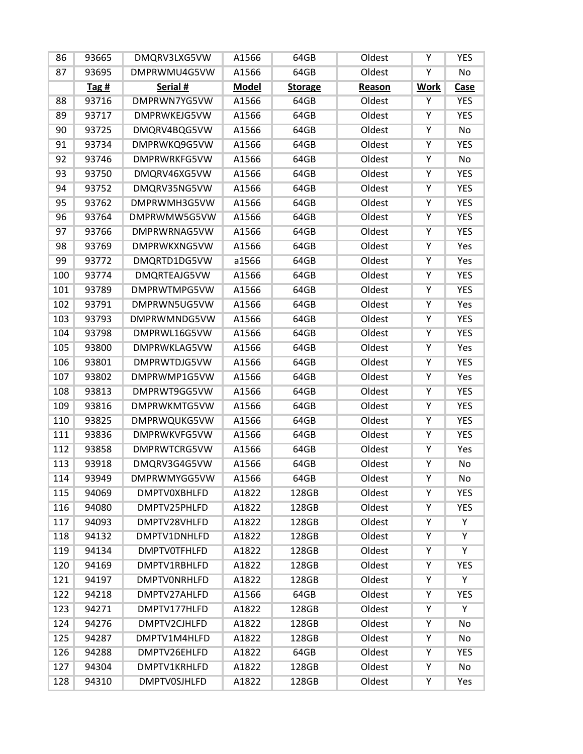| 86  | 93665 | DMQRV3LXG5VW        | A1566        | 64GB           | Oldest | Υ           | <b>YES</b>     |
|-----|-------|---------------------|--------------|----------------|--------|-------------|----------------|
| 87  | 93695 | DMPRWMU4G5VW        | A1566        | 64GB           | Oldest | Υ           | No             |
|     | Tag#  | Serial #            | <b>Model</b> | <b>Storage</b> | Reason | <b>Work</b> | <b>Case</b>    |
| 88  | 93716 | DMPRWN7YG5VW        | A1566        | 64GB           | Oldest | Υ           | <b>YES</b>     |
| 89  | 93717 | DMPRWKEJG5VW        | A1566        | 64GB           | Oldest | Υ           | <b>YES</b>     |
| 90  | 93725 | DMQRV4BQG5VW        | A1566        | 64GB           | Oldest | Υ           | <b>No</b>      |
| 91  | 93734 | DMPRWKQ9G5VW        | A1566        | 64GB           | Oldest | Υ           | <b>YES</b>     |
| 92  | 93746 | <b>DMPRWRKFG5VW</b> | A1566        | 64GB           | Oldest | Y           | <b>No</b>      |
| 93  | 93750 | DMQRV46XG5VW        | A1566        | 64GB           | Oldest | Υ           | <b>YES</b>     |
| 94  | 93752 | DMQRV35NG5VW        | A1566        | 64GB           | Oldest | Υ           | <b>YES</b>     |
| 95  | 93762 | DMPRWMH3G5VW        | A1566        | 64GB           | Oldest | Υ           | <b>YES</b>     |
| 96  | 93764 | DMPRWMW5G5VW        | A1566        | 64GB           | Oldest | Υ           | <b>YES</b>     |
| 97  | 93766 | DMPRWRNAG5VW        | A1566        | 64GB           | Oldest | Υ           | <b>YES</b>     |
| 98  | 93769 | DMPRWKXNG5VW        | A1566        | 64GB           | Oldest | Υ           | Yes            |
| 99  | 93772 | DMQRTD1DG5VW        | a1566        | 64GB           | Oldest | Υ           | Yes            |
| 100 | 93774 | DMQRTEAJG5VW        | A1566        | 64GB           | Oldest | Υ           | <b>YES</b>     |
| 101 | 93789 | DMPRWTMPG5VW        | A1566        | 64GB           | Oldest | Υ           | <b>YES</b>     |
| 102 | 93791 | DMPRWN5UG5VW        | A1566        | 64GB           | Oldest | Υ           | Yes            |
| 103 | 93793 | DMPRWMNDG5VW        | A1566        | 64GB           | Oldest | Ϋ           | <b>YES</b>     |
| 104 | 93798 | DMPRWL16G5VW        | A1566        | 64GB           | Oldest | Υ           | <b>YES</b>     |
| 105 | 93800 | DMPRWKLAG5VW        | A1566        | 64GB           | Oldest | Υ           | Yes            |
| 106 | 93801 | DMPRWTDJG5VW        | A1566        | 64GB           | Oldest | Υ           | <b>YES</b>     |
| 107 | 93802 | DMPRWMP1G5VW        | A1566        | 64GB           | Oldest | Υ           | Yes            |
| 108 | 93813 | DMPRWT9GG5VW        | A1566        | 64GB           | Oldest | Υ           | <b>YES</b>     |
| 109 | 93816 | DMPRWKMTG5VW        | A1566        | 64GB           | Oldest | Υ           | <b>YES</b>     |
| 110 | 93825 | DMPRWQUKG5VW        | A1566        | 64GB           | Oldest | Υ           | <b>YES</b>     |
| 111 | 93836 | <b>DMPRWKVFG5VW</b> | A1566        | 64GB           | Oldest | Υ           | <b>YES</b>     |
| 112 | 93858 | DMPRWTCRG5VW        | A1566        | 64GB           | Oldest | Υ           | Yes            |
| 113 | 93918 | DMQRV3G4G5VW        | A1566        | 64GB           | Oldest | Υ           | No             |
| 114 | 93949 | DMPRWMYGG5VW        | A1566        | 64GB           | Oldest | Υ           | No             |
| 115 | 94069 | <b>DMPTV0XBHLFD</b> | A1822        | 128GB          | Oldest | Y           | <b>YES</b>     |
| 116 | 94080 | DMPTV25PHLFD        | A1822        | 128GB          | Oldest | Υ           | <b>YES</b>     |
| 117 | 94093 | DMPTV28VHLFD        | A1822        | 128GB          | Oldest | Υ           | Υ              |
| 118 | 94132 | DMPTV1DNHLFD        | A1822        | 128GB          | Oldest | Υ           | $\overline{Y}$ |
| 119 | 94134 | <b>DMPTV0TFHLFD</b> | A1822        | 128GB          | Oldest | Υ           | Υ              |
| 120 | 94169 | DMPTV1RBHLFD        | A1822        | 128GB          | Oldest | Υ           | <b>YES</b>     |
| 121 | 94197 | <b>DMPTVONRHLFD</b> | A1822        | 128GB          | Oldest | Υ           | Y              |
| 122 | 94218 | DMPTV27AHLFD        | A1566        | 64GB           | Oldest | Υ           | <b>YES</b>     |
| 123 | 94271 | DMPTV177HLFD        | A1822        | 128GB          | Oldest | Υ           | Y              |
| 124 | 94276 | DMPTV2CJHLFD        | A1822        | 128GB          | Oldest | Y           | No             |
| 125 | 94287 | DMPTV1M4HLFD        | A1822        | 128GB          | Oldest | Y           | No             |
| 126 | 94288 | DMPTV26EHLFD        | A1822        | 64GB           | Oldest | Υ           | <b>YES</b>     |
| 127 | 94304 | DMPTV1KRHLFD        | A1822        | 128GB          | Oldest | Υ           | No             |
| 128 | 94310 | <b>DMPTV0SJHLFD</b> | A1822        | 128GB          | Oldest | Υ           | Yes            |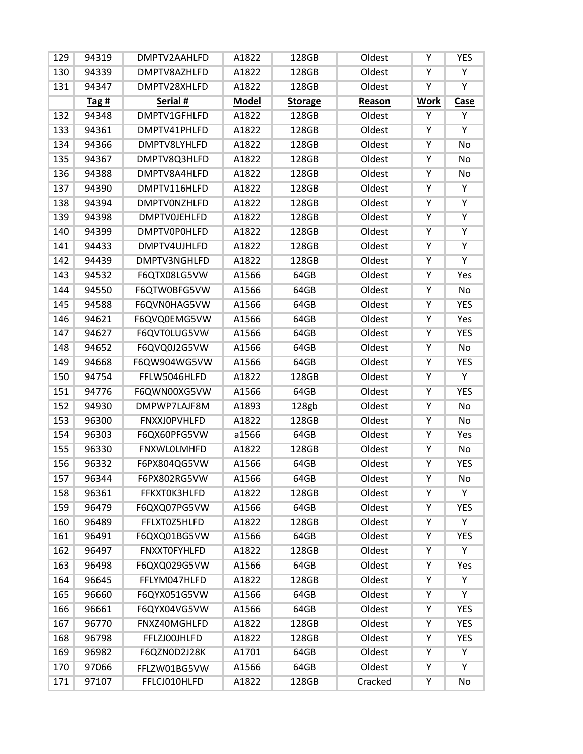| 129 | 94319 | DMPTV2AAHLFD        | A1822        | 128GB          | Oldest  | Υ              | <b>YES</b>              |
|-----|-------|---------------------|--------------|----------------|---------|----------------|-------------------------|
| 130 | 94339 | DMPTV8AZHLFD        | A1822        | 128GB          | Oldest  | Υ              | Υ                       |
| 131 | 94347 | DMPTV28XHLFD        | A1822        | 128GB          | Oldest  | Y              | $\overline{\mathsf{Y}}$ |
|     | Tag#  | Serial #            | <b>Model</b> | <b>Storage</b> | Reason  | <b>Work</b>    | Case                    |
| 132 | 94348 | DMPTV1GFHLFD        | A1822        | 128GB          | Oldest  | Υ              | Υ                       |
| 133 | 94361 | DMPTV41PHLFD        | A1822        | 128GB          | Oldest  | $\overline{Y}$ | $\overline{Y}$          |
| 134 | 94366 | DMPTV8LYHLFD        | A1822        | 128GB          | Oldest  | Υ              | No                      |
| 135 | 94367 | DMPTV8Q3HLFD        | A1822        | 128GB          | Oldest  | Y              | No                      |
| 136 | 94388 | DMPTV8A4HLFD        | A1822        | 128GB          | Oldest  | Υ              | No                      |
| 137 | 94390 | DMPTV116HLFD        | A1822        | 128GB          | Oldest  | Υ              | $\overline{\mathsf{Y}}$ |
| 138 | 94394 | <b>DMPTVONZHLFD</b> | A1822        | 128GB          | Oldest  | Y              | $\overline{Y}$          |
| 139 | 94398 | <b>DMPTV0JEHLFD</b> | A1822        | 128GB          | Oldest  | Υ              | Υ                       |
| 140 | 94399 | <b>DMPTV0P0HLFD</b> | A1822        | 128GB          | Oldest  | Ϋ              | Y                       |
| 141 | 94433 | DMPTV4UJHLFD        | A1822        | 128GB          | Oldest  | Υ              | Y                       |
| 142 | 94439 | DMPTV3NGHLFD        | A1822        | 128GB          | Oldest  | Ϋ              | $\overline{Y}$          |
| 143 | 94532 | F6QTX08LG5VW        | A1566        | 64GB           | Oldest  | Υ              | Yes                     |
| 144 | 94550 | F6QTW0BFG5VW        | A1566        | 64GB           | Oldest  | Y              | <b>No</b>               |
| 145 | 94588 | F6QVN0HAG5VW        | A1566        | 64GB           | Oldest  | Υ              | <b>YES</b>              |
| 146 | 94621 | F6QVQ0EMG5VW        | A1566        | 64GB           | Oldest  | Υ              | Yes                     |
| 147 | 94627 | F6QVT0LUG5VW        | A1566        | 64GB           | Oldest  | Υ              | <b>YES</b>              |
| 148 | 94652 | F6QVQ0J2G5VW        | A1566        | 64GB           | Oldest  | Υ              | No                      |
| 149 | 94668 | F6QW904WG5VW        | A1566        | 64GB           | Oldest  | Y              | <b>YES</b>              |
| 150 | 94754 | FFLW5046HLFD        | A1822        | 128GB          | Oldest  | Υ              | Y                       |
| 151 | 94776 | F6QWN00XG5VW        | A1566        | 64GB           | Oldest  | Υ              | <b>YES</b>              |
| 152 | 94930 | DMPWP7LAJF8M        | A1893        | 128gb          | Oldest  | Υ              | <b>No</b>               |
| 153 | 96300 | <b>FNXXJOPVHLFD</b> | A1822        | 128GB          | Oldest  | Ϋ              | No                      |
| 154 | 96303 | F6QX60PFG5VW        | a1566        | 64GB           | Oldest  | Υ              | Yes                     |
| 155 | 96330 | <b>FNXWLOLMHFD</b>  | A1822        | 128GB          | Oldest  | Y              | <b>No</b>               |
| 156 | 96332 | F6PX804QG5VW        | A1566        | 64GB           | Oldest  | Υ              | <b>YES</b>              |
| 157 | 96344 | F6PX802RG5VW        | A1566        | 64GB           | Oldest  | Υ              | No                      |
| 158 | 96361 | FFKXT0K3HLFD        | A1822        | 128GB          | Oldest  | Υ              | Υ                       |
| 159 | 96479 | F6QXQ07PG5VW        | A1566        | 64GB           | Oldest  | Υ              | <b>YES</b>              |
| 160 | 96489 | FFLXT0Z5HLFD        | A1822        | 128GB          | Oldest  | Υ              | Y                       |
| 161 | 96491 | F6QXQ01BG5VW        | A1566        | 64GB           | Oldest  | Υ              | <b>YES</b>              |
| 162 | 96497 | <b>FNXXTOFYHLFD</b> | A1822        | 128GB          | Oldest  | Υ              | Y                       |
| 163 | 96498 | F6QXQ029G5VW        | A1566        | 64GB           | Oldest  | Υ              | Yes                     |
| 164 | 96645 | FFLYM047HLFD        | A1822        | 128GB          | Oldest  | Υ              | Y                       |
| 165 | 96660 | F6QYX051G5VW        | A1566        | 64GB           | Oldest  | Υ              | Υ                       |
| 166 | 96661 | F6QYX04VG5VW        | A1566        | 64GB           | Oldest  | Υ              | <b>YES</b>              |
| 167 | 96770 | FNXZ40MGHLFD        | A1822        | 128GB          | Oldest  | Υ              | <b>YES</b>              |
| 168 | 96798 | FFLZJ00JHLFD        | A1822        | 128GB          | Oldest  | Υ              | <b>YES</b>              |
| 169 | 96982 | F6QZN0D2J28K        | A1701        | 64GB           | Oldest  | Υ              | Υ                       |
| 170 | 97066 | FFLZW01BG5VW        | A1566        | 64GB           | Oldest  | Υ              | Y                       |
| 171 | 97107 | FFLCJ010HLFD        | A1822        | 128GB          | Cracked | Υ              | No                      |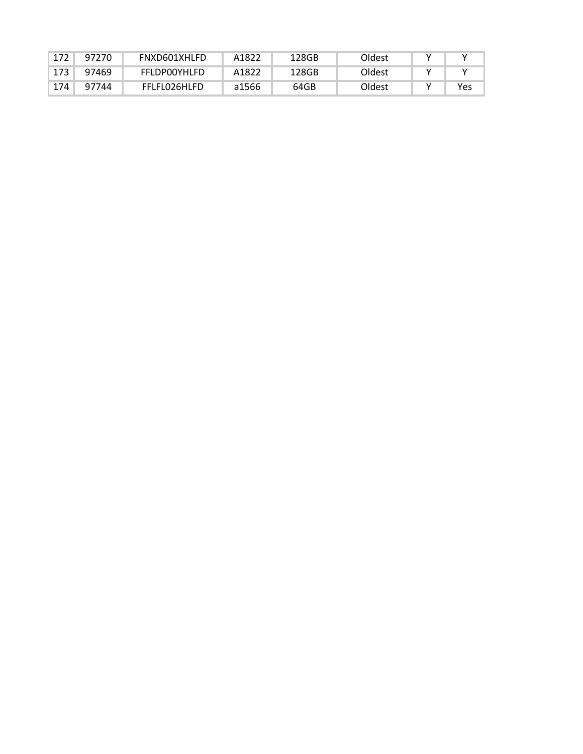| 172 | 97270 | FNXD601XHLFD        | A1822 | 128GB | Oldest |     |
|-----|-------|---------------------|-------|-------|--------|-----|
| 173 | 97469 | <b>FFLDP00YHLFD</b> | A1822 | 128GB | Oldest |     |
| 174 | 97744 | FFLFL026HLFD        | a1566 | 64GB  | Oldest | Yes |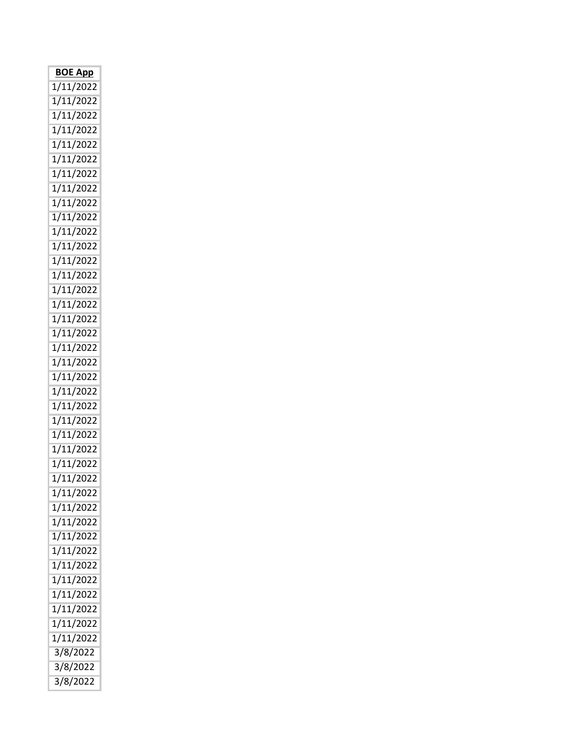| <b>BOE App</b> |
|----------------|
| 1/11/2022      |
| 1/11/2022      |
| 1/11/2022      |
| 1/11/2022      |
| 1/11/2022      |
| 1/11/2022      |
| 1/11/2022      |
| 1/11/2022      |
| 1/11/2022      |
| 1/11/2022      |
| 1/11/2022      |
| 1/11/2022      |
| 1/11/2022      |
| 1/11/2022      |
| 1/11/2022      |
| 1/11/2022      |
| 1/11/2022      |
| 1/11/2022      |
| 1/11/2022      |
| 1/11/2022      |
| 1/11/2022      |
| 1/11/2022      |
| 1/11/2022      |
| 1/11/2022      |
| 1/11/2022      |
| 1/11/2022      |
| 1/11/2022      |
| 1/11/2022      |
| 1/11/2022      |
| 1/11/2022      |
| 1/11/2022      |
| 1/11/2022      |
| 1/11/2022      |
| 1/11/2022      |
| 1/11/2022      |
| 1/11/2022      |
| 1/11/2022      |
| 1/11/2022      |
| 1/11/2022      |
| 3/8/2022       |
| 3/8/2022       |
| 3/8/2022       |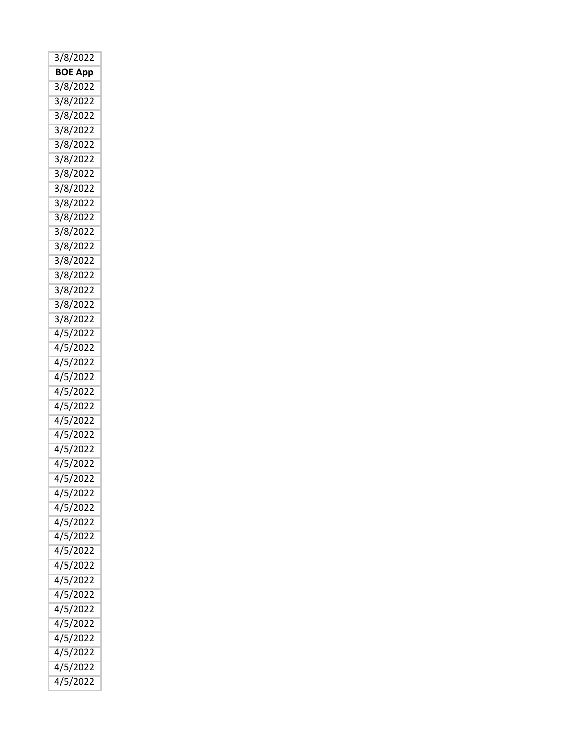| 3/8/2022       |
|----------------|
| <b>BOE App</b> |
| 3/8/2022       |
| 3/8/2022       |
| 3/8/2022       |
| 3/8/2022       |
| 3/8/2022       |
| 3/8/2022       |
| 3/8/2022       |
| 3/8/2022       |
| 3/8/2022       |
| 3/8/2022       |
| 3/8/2022       |
| 3/8/2022       |
| 3/8/2022       |
| 3/8/2022       |
| 3/8/2022       |
| 3/8/2022       |
| 3/8/2022       |
| 4/5/2022       |
| 4/5/2022       |
| 4/5/2022       |
| 4/5/2022       |
| 4/5/2022       |
| 4/5/2022       |
| 4/5/2022       |
| 4/5/2022       |
| 4/5/2022       |
| 4/5/2022       |
| 4/5/2022       |
| 4/5/2022       |
| 4/5/2022       |
| 4/5/2022       |
| 4/5/2022       |
| 4/5/2022       |
| 4/5/2022       |
| 4/5/2022       |
| 4/5/2022       |
| 4/5/2022       |
| 4/5/2022       |
|                |
| 4/5/2022       |
| 4/5/2022       |
| 4/5/2022       |
| 4/5/2022       |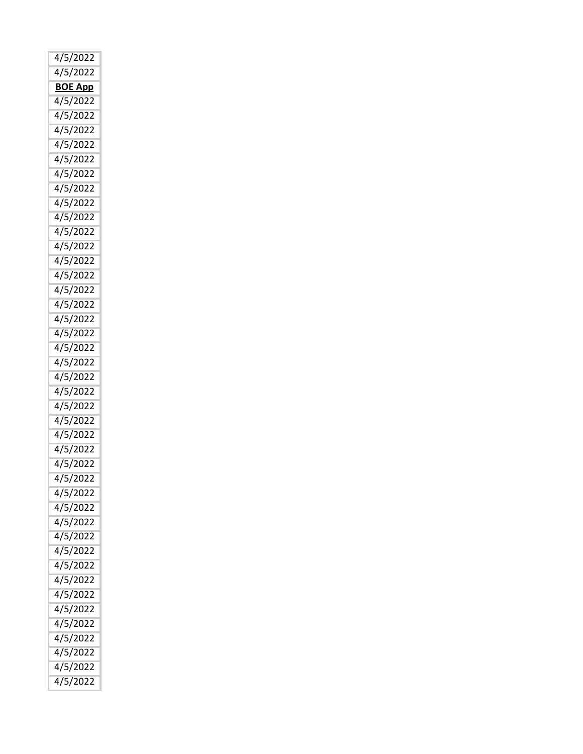| 4/5/2022       |
|----------------|
| 4/5/2022       |
| <b>BOE App</b> |
| 4/5/2022       |
| 4/5/2022       |
| 4/5/2022       |
| 4/5/2022       |
| 4/5/2022       |
| 4/5/2022       |
| 4/5/2022       |
| 4/5/2022       |
| 4/5/2022       |
| 4/5/2022       |
| 4/5/2022       |
| 4/5/2022       |
| 4/5/2022       |
| 4/5/2022       |
|                |
| 4/5/2022       |
| 4/5/2022       |
| 4/5/2022       |
| 4/5/2022       |
| 4/5/2022       |
| 4/5/2022       |
| 4/5/2022       |
| 4/5/2022       |
| 4/5/2022       |
| 4/5/2022       |
| 4/5/2022       |
| 4/5/2022       |
| 4/5/2022       |
| 4/5/2022       |
| 4/5/2022       |
| 4/5/2022       |
| 4/5/2022       |
| 4/5/2022       |
| 4/5/2022       |
| 4/5/2022       |
| 4/5/2022       |
|                |
| 4/5/2022       |
| 4/5/2022       |
| 4/5/2022       |
| 4/5/2022       |
| 4/5/2022       |
| 4/5/2022       |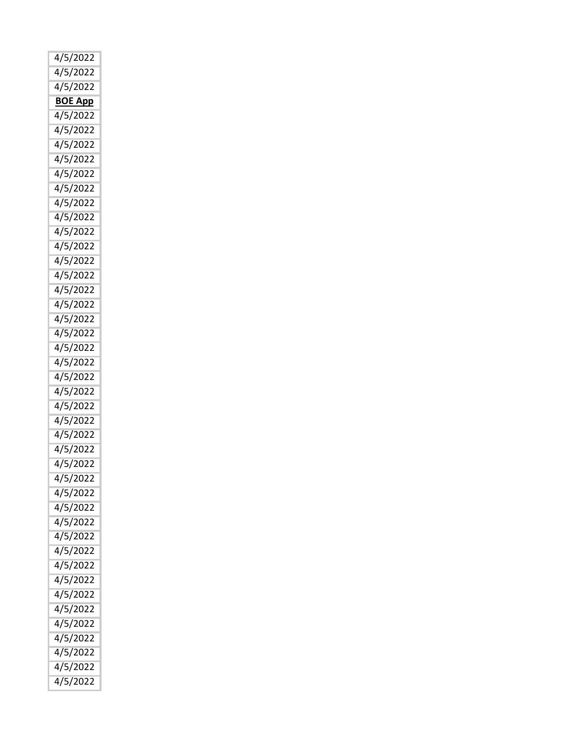| 4/5/2022       |
|----------------|
| 4/5/2022       |
| 4/5/2022       |
| <b>BOE App</b> |
| 4/5/2022       |
| 4/5/2022       |
|                |
| 4/5/2022       |
| 4/5/2022       |
| 4/5/2022       |
| 4/5/2022       |
| 4/5/2022       |
| 4/5/2022       |
| 4/5/2022       |
| 4/5/2022       |
| 4/5/2022       |
| 4/5/2022       |
| 4/5/2022       |
| 4/5/2022       |
|                |
| 4/5/2022       |
| 4/5/2022       |
| 4/5/2022       |
| 4/5/2022       |
| 4/5/2022       |
| 4/5/2022       |
| 4/5/2022       |
| 4/5/2022       |
| 4/5/2022       |
| 4/5/2022       |
| 4/5/2022       |
| 4/5/2022       |
| 4/5/2022       |
|                |
| 4/5/2022       |
| 4/5/2022       |
| 4/5/2022       |
| 4/5/2022       |
| 4/5/2022       |
| 4/5/2022       |
| 4/5/2022       |
| 4/5/2022       |
| 4/5/2022       |
| 4/5/2022       |
| 4/5/2022       |
| 4/5/2022       |
|                |
| 4/5/2022       |